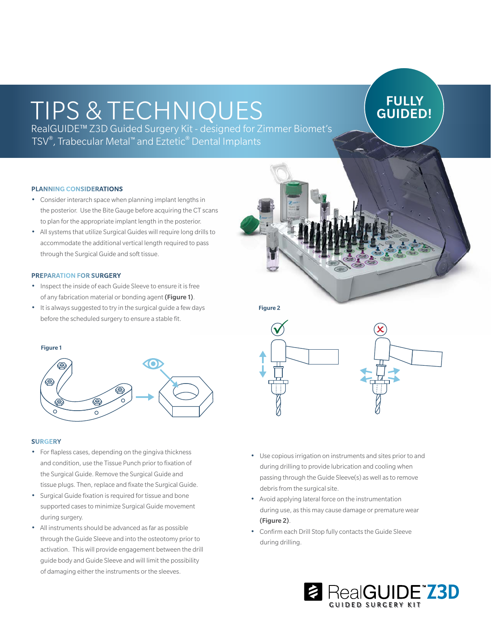# TIPS & TECHNIQUES

## **FULLY** GUIDED!

RealGUIDE™ Z3D Guided Surgery Kit - designed for Zimmer Biomet's TSV®, Trabecular Metal™ and Eztetic® Dental Implants

### PLANNING CONSIDERATIONS

- Consider interarch space when planning implant lengths in the posterior. Use the Bite Gauge before acquiring the CT scans to plan for the appropriate implant length in the posterior.
- All systems that utilize Surgical Guides will require long drills to accommodate the additional vertical length required to pass through the Surgical Guide and soft tissue.

#### PREPARATION FOR SURGERY

- Inspect the inside of each Guide Sleeve to ensure it is free of any fabrication material or bonding agent (Figure 1).
- It is always suggested to try in the surgical guide a few days



#### **SURGERY**

- For flapless cases, depending on the gingiva thickness and condition, use the Tissue Punch prior to fixation of the Surgical Guide. Remove the Surgical Guide and tissue plugs. Then, replace and fixate the Surgical Guide.
- Surgical Guide fixation is required for tissue and bone supported cases to minimize Surgical Guide movement during surgery.
- All instruments should be advanced as far as possible through the Guide Sleeve and into the osteotomy prior to activation. This will provide engagement between the drill guide body and Guide Sleeve and will limit the possibility of damaging either the instruments or the sleeves.

Figure 2



- Use copious irrigation on instruments and sites prior to and during drilling to provide lubrication and cooling when passing through the Guide Sleeve(s) as well as to remove debris from the surgical site.
- Avoid applying lateral force on the instrumentation during use, as this may cause damage or premature wear (Figure 2).
- Confirm each Drill Stop fully contacts the Guide Sleeve during drilling.